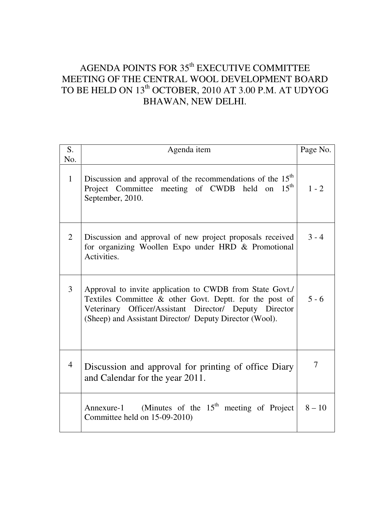# AGENDA POINTS FOR  $35<sup>th</sup>$  EXECUTIVE COMMITTEE MEETING OF THE CENTRAL WOOL DEVELOPMENT BOARD TO BE HELD ON 13<sup>th</sup> OCTOBER, 2010 AT 3.00 P.M. AT UDYOG BHAWAN, NEW DELHI.

| S.<br>No.      | Agenda item                                                                                                                                                                                                                              | Page No. |
|----------------|------------------------------------------------------------------------------------------------------------------------------------------------------------------------------------------------------------------------------------------|----------|
| $\mathbf{1}$   | Discussion and approval of the recommendations of the $15th$<br>Project Committee meeting of CWDB held on 15 <sup>th</sup><br>September, 2010.                                                                                           | $1 - 2$  |
| 2              | Discussion and approval of new project proposals received<br>for organizing Woollen Expo under HRD & Promotional<br>Activities.                                                                                                          | $3 - 4$  |
| 3              | Approval to invite application to CWDB from State Govt./<br>Textiles Committee & other Govt. Deptt. for the post of<br>Veterinary Officer/Assistant Director/ Deputy Director<br>(Sheep) and Assistant Director/ Deputy Director (Wool). | $5 - 6$  |
| $\overline{4}$ | Discussion and approval for printing of office Diary<br>and Calendar for the year 2011.                                                                                                                                                  | 7        |
|                | Annexure-1 (Minutes of the $15th$ meeting of Project<br>Committee held on 15-09-2010)                                                                                                                                                    | $8 - 10$ |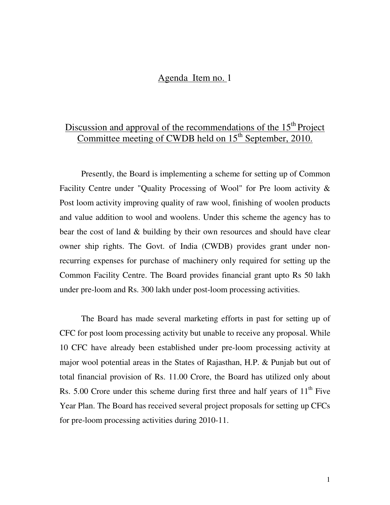### Agenda Item no. 1

## Discussion and approval of the recommendations of the 15<sup>th</sup> Project Committee meeting of CWDB held on  $15<sup>th</sup>$  September, 2010.

 Presently, the Board is implementing a scheme for setting up of Common Facility Centre under "Quality Processing of Wool" for Pre loom activity & Post loom activity improving quality of raw wool, finishing of woolen products and value addition to wool and woolens. Under this scheme the agency has to bear the cost of land & building by their own resources and should have clear owner ship rights. The Govt. of India (CWDB) provides grant under nonrecurring expenses for purchase of machinery only required for setting up the Common Facility Centre. The Board provides financial grant upto Rs 50 lakh under pre-loom and Rs. 300 lakh under post-loom processing activities.

The Board has made several marketing efforts in past for setting up of CFC for post loom processing activity but unable to receive any proposal. While 10 CFC have already been established under pre-loom processing activity at major wool potential areas in the States of Rajasthan, H.P. & Punjab but out of total financial provision of Rs. 11.00 Crore, the Board has utilized only about Rs. 5.00 Crore under this scheme during first three and half years of  $11<sup>th</sup>$  Five Year Plan. The Board has received several project proposals for setting up CFCs for pre-loom processing activities during 2010-11.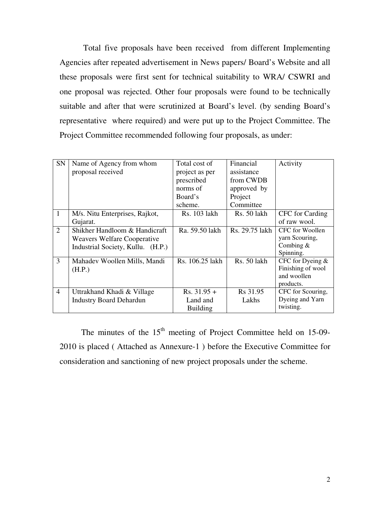Total five proposals have been received from different Implementing Agencies after repeated advertisement in News papers/ Board's Website and all these proposals were first sent for technical suitability to WRA/ CSWRI and one proposal was rejected. Other four proposals were found to be technically suitable and after that were scrutinized at Board's level. (by sending Board's representative where required) and were put up to the Project Committee. The Project Committee recommended following four proposals, as under:

| <b>SN</b>      | Name of Agency from whom           | Total cost of   | Financial            | Activity          |
|----------------|------------------------------------|-----------------|----------------------|-------------------|
|                | proposal received                  | project as per  | assistance           |                   |
|                |                                    | prescribed      | from CWDB            |                   |
|                |                                    | norms of        | approved by          |                   |
|                |                                    | Board's         | Project              |                   |
|                |                                    | scheme.         | Committee            |                   |
| 1              | M/s. Nitu Enterprises, Rajkot,     | Rs. 103 lakh    | Rs. 50 lakh          | CFC for Carding   |
|                | Gujarat.                           |                 |                      | of raw wool.      |
| 2              | Shikher Handloom & Handicraft      | Ra. 59.50 lakh  | Rs. 29.75 lakh       | CFC for Woollen   |
|                | <b>Weavers Welfare Cooperative</b> |                 |                      | yarn Scouring,    |
|                | Industrial Society, Kullu. (H.P.)  |                 |                      | Combing $&$       |
|                |                                    |                 |                      | Spinning.         |
| 3              | Mahadev Woollen Mills, Mandi       | Rs. 106.25 lakh | Rs. 50 lakh          | CFC for Dyeing &  |
|                | (H.P.)                             |                 |                      | Finishing of wool |
|                |                                    |                 |                      | and woollen       |
|                |                                    |                 |                      | products.         |
| $\overline{4}$ | Uttrakhand Khadi & Village         | $Rs. 31.95 +$   | R <sub>s</sub> 31.95 | CFC for Scouring, |
|                | <b>Industry Board Dehardun</b>     | Land and        | Lakhs                | Dyeing and Yarn   |
|                |                                    | <b>Building</b> |                      | twisting.         |

The minutes of the  $15<sup>th</sup>$  meeting of Project Committee held on 15-09-2010 is placed ( Attached as Annexure-1 ) before the Executive Committee for consideration and sanctioning of new project proposals under the scheme.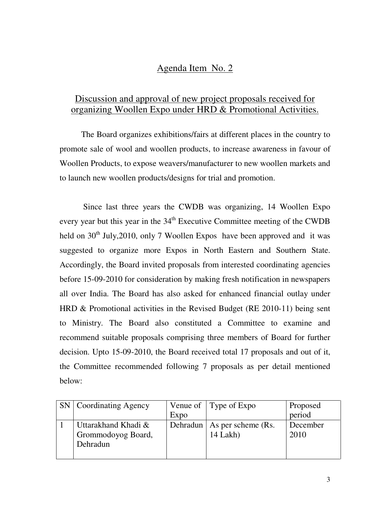### Agenda Item No. 2

### Discussion and approval of new project proposals received for organizing Woollen Expo under HRD & Promotional Activities.

The Board organizes exhibitions/fairs at different places in the country to promote sale of wool and woollen products, to increase awareness in favour of Woollen Products, to expose weavers/manufacturer to new woollen markets and to launch new woollen products/designs for trial and promotion.

 Since last three years the CWDB was organizing, 14 Woollen Expo every year but this year in the 34<sup>th</sup> Executive Committee meeting of the CWDB held on  $30<sup>th</sup>$  July, 2010, only 7 Woollen Expos have been approved and it was suggested to organize more Expos in North Eastern and Southern State. Accordingly, the Board invited proposals from interested coordinating agencies before 15-09-2010 for consideration by making fresh notification in newspapers all over India. The Board has also asked for enhanced financial outlay under HRD & Promotional activities in the Revised Budget (RE 2010-11) being sent to Ministry. The Board also constituted a Committee to examine and recommend suitable proposals comprising three members of Board for further decision. Upto 15-09-2010, the Board received total 17 proposals and out of it, the Committee recommended following 7 proposals as per detail mentioned below:

| SN   Coordinating Agency                              |      | Venue of $ $ Type of Expo                 | Proposed         |
|-------------------------------------------------------|------|-------------------------------------------|------------------|
|                                                       | Expo |                                           | period           |
| Uttarakhand Khadi &<br>Grommodoyog Board,<br>Dehradun |      | Dehradun   As per scheme (Rs.<br>14 Lakh) | December<br>2010 |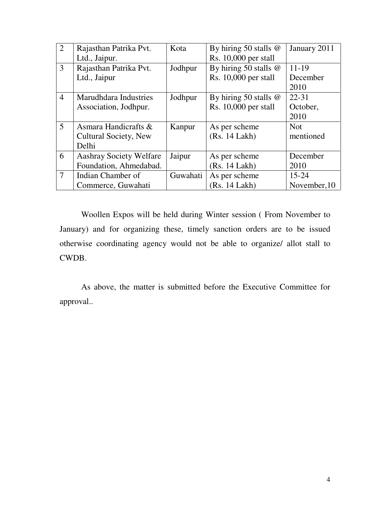| $\overline{2}$ | Rajasthan Patrika Pvt.         | Kota     | By hiring 50 stalls $@$ | January 2011 |
|----------------|--------------------------------|----------|-------------------------|--------------|
|                | Ltd., Jaipur.                  |          | Rs. $10,000$ per stall  |              |
| 3              | Rajasthan Patrika Pvt.         | Jodhpur  | By hiring 50 stalls $@$ | $11 - 19$    |
|                | Ltd., Jaipur                   |          | $Rs. 10,000$ per stall  | December     |
|                |                                |          |                         | 2010         |
| $\overline{4}$ | Marudhdara Industries          | Jodhpur  | By hiring 50 stalls $@$ | $22 - 31$    |
|                | Association, Jodhpur.          |          | $Rs. 10,000$ per stall  | October,     |
|                |                                |          |                         | 2010         |
| 5              | Asmara Handicrafts &           | Kanpur   | As per scheme           | <b>Not</b>   |
|                | <b>Cultural Society, New</b>   |          | (Rs. 14 Lakh)           | mentioned    |
|                | Delhi                          |          |                         |              |
| 6              | <b>Aashray Society Welfare</b> | Jaipur   | As per scheme           | December     |
|                | Foundation, Ahmedabad.         |          | (Rs. 14 Lakh)           | 2010         |
| $\overline{7}$ | Indian Chamber of              | Guwahati | As per scheme           | $15 - 24$    |
|                | Commerce, Guwahati             |          | (Rs. 14 Lakh)           | November, 10 |

 Woollen Expos will be held during Winter session ( From November to January) and for organizing these, timely sanction orders are to be issued otherwise coordinating agency would not be able to organize/ allot stall to CWDB.

 As above, the matter is submitted before the Executive Committee for approval..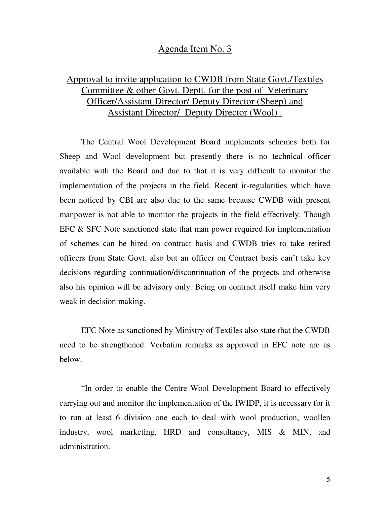#### Agenda Item No. 3

## Approval to invite application to CWDB from State Govt./Textiles Committee & other Govt. Deptt. for the post of Veterinary Officer/Assistant Director/ Deputy Director (Sheep) and Assistant Director/ Deputy Director (Wool) .

 The Central Wool Development Board implements schemes both for Sheep and Wool development but presently there is no technical officer available with the Board and due to that it is very difficult to monitor the implementation of the projects in the field. Recent ir-regularities which have been noticed by CBI are also due to the same because CWDB with present manpower is not able to monitor the projects in the field effectively. Though EFC & SFC Note sanctioned state that man power required for implementation of schemes can be hired on contract basis and CWDB tries to take retired officers from State Govt. also but an officer on Contract basis can't take key decisions regarding continuation/discontinuation of the projects and otherwise also his opinion will be advisory only. Being on contract itself make him very weak in decision making.

EFC Note as sanctioned by Ministry of Textiles also state that the CWDB need to be strengthened. Verbatim remarks as approved in EFC note are as below.

 "In order to enable the Centre Wool Development Board to effectively carrying out and monitor the implementation of the IWIDP, it is necessary for it to run at least 6 division one each to deal with wool production, woollen industry, wool marketing, HRD and consultancy, MIS & MIN, and administration.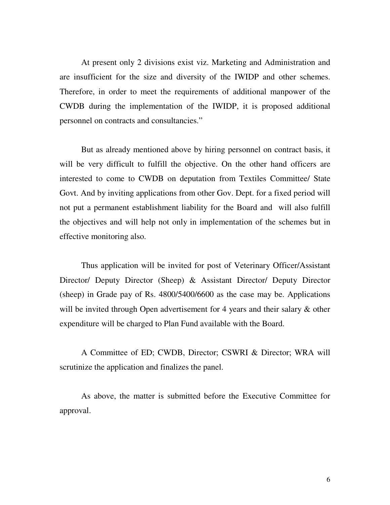At present only 2 divisions exist viz. Marketing and Administration and are insufficient for the size and diversity of the IWIDP and other schemes. Therefore, in order to meet the requirements of additional manpower of the CWDB during the implementation of the IWIDP, it is proposed additional personnel on contracts and consultancies."

 But as already mentioned above by hiring personnel on contract basis, it will be very difficult to fulfill the objective. On the other hand officers are interested to come to CWDB on deputation from Textiles Committee/ State Govt. And by inviting applications from other Gov. Dept. for a fixed period will not put a permanent establishment liability for the Board and will also fulfill the objectives and will help not only in implementation of the schemes but in effective monitoring also.

Thus application will be invited for post of Veterinary Officer/Assistant Director/ Deputy Director (Sheep) & Assistant Director/ Deputy Director (sheep) in Grade pay of Rs. 4800/5400/6600 as the case may be. Applications will be invited through Open advertisement for 4 years and their salary  $\&$  other expenditure will be charged to Plan Fund available with the Board.

 A Committee of ED; CWDB, Director; CSWRI & Director; WRA will scrutinize the application and finalizes the panel.

 As above, the matter is submitted before the Executive Committee for approval.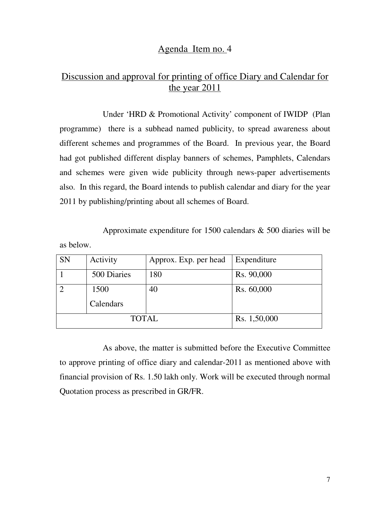### Agenda Item no. 4

## Discussion and approval for printing of office Diary and Calendar for the year 2011

 Under 'HRD & Promotional Activity' component of IWIDP (Plan programme) there is a subhead named publicity, to spread awareness about different schemes and programmes of the Board. In previous year, the Board had got published different display banners of schemes, Pamphlets, Calendars and schemes were given wide publicity through news-paper advertisements also. In this regard, the Board intends to publish calendar and diary for the year 2011 by publishing/printing about all schemes of Board.

Approximate expenditure for 1500 calendars & 500 diaries will be

as below.

| <b>SN</b> | Activity     | Approx. Exp. per head | Expenditure  |
|-----------|--------------|-----------------------|--------------|
|           | 500 Diaries  | 180                   | Rs. 90,000   |
|           | 1500         | 40                    | Rs. 60,000   |
|           | Calendars    |                       |              |
|           | <b>TOTAL</b> |                       | Rs. 1,50,000 |

 As above, the matter is submitted before the Executive Committee to approve printing of office diary and calendar-2011 as mentioned above with financial provision of Rs. 1.50 lakh only. Work will be executed through normal Quotation process as prescribed in GR/FR.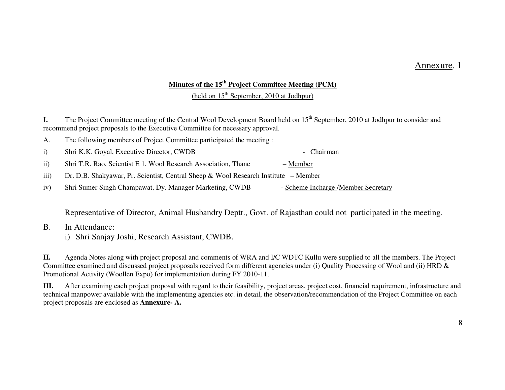### Annexure. 1

#### **Minutes of the 15th Project Committee Meeting (PCM)**

(held on  $15<sup>th</sup>$  September, 2010 at Jodhpur)

**I.** The Project Committee meeting of the Central Wool Development Board held on 15<sup>th</sup> September, 2010 at Jodhpur to consider and recommend project proposals to the Executive Committee for necessary approval.

| The following members of Project Committee participated the meeting : |  |  |
|-----------------------------------------------------------------------|--|--|
|                                                                       |  |  |

i) Shri K.K. Goyal, Executive Director, CWDB - Chairman

ii) Shri T.R. Rao, Scientist E 1, Wool Research Association, Thane – Member

iii) Dr. D.B. Shakyawar, Pr. Scientist, Central Sheep & Wool Research Institute – Member

iv) Shri Sumer Singh Champawat, Dy. Manager Marketing, CWDB - Scheme Incharge /Member Secretary

Representative of Director, Animal Husbandry Deptt., Govt. of Rajasthan could not participated in the meeting.

- B. In Attendance:
	- i) Shri Sanjay Joshi, Research Assistant, CWDB.

**II.** Agenda Notes along with project proposal and comments of WRA and I/C WDTC Kullu were supplied to all the members. The Project Committee examined and discussed project proposals received form different agencies under (i) Quality Processing of Wool and (ii) HRD & Promotional Activity (Woollen Expo) for implementation during FY 2010-11.

**III.** After examining each project proposal with regard to their feasibility, project areas, project cost, financial requirement, infrastructure and technical manpower available with the implementing agencies etc. in detail, the observation/recommendation of the Project Committee on each project proposals are enclosed as **Annexure- A.**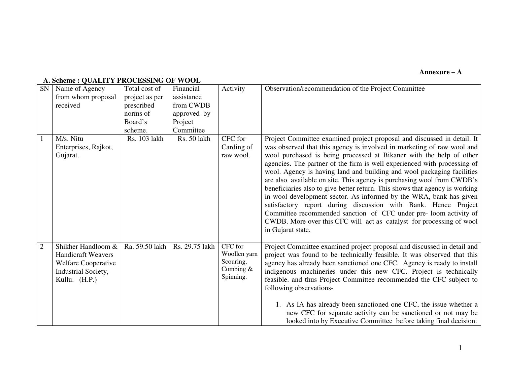#### **Annexure – A**

### **A. Scheme : QUALITY PROCESSING OF WOOL**

| SN             | Name of Agency<br>from whom proposal<br>received                                                                      | Total cost of<br>project as per<br>prescribed<br>norms of<br>Board's<br>scheme. | Financial<br>assistance<br>from CWDB<br>approved by<br>Project<br>Committee | Activity                                                         | Observation/recommendation of the Project Committee                                                                                                                                                                                                                                                                                                                                                                                                                                                                                                                                                                                                                                                                                                                                                                                              |
|----------------|-----------------------------------------------------------------------------------------------------------------------|---------------------------------------------------------------------------------|-----------------------------------------------------------------------------|------------------------------------------------------------------|--------------------------------------------------------------------------------------------------------------------------------------------------------------------------------------------------------------------------------------------------------------------------------------------------------------------------------------------------------------------------------------------------------------------------------------------------------------------------------------------------------------------------------------------------------------------------------------------------------------------------------------------------------------------------------------------------------------------------------------------------------------------------------------------------------------------------------------------------|
|                | M/s. Nitu<br>Enterprises, Rajkot,<br>Gujarat.                                                                         | Rs. 103 lakh                                                                    | Rs. 50 lakh                                                                 | CFC for<br>Carding of<br>raw wool.                               | Project Committee examined project proposal and discussed in detail. It<br>was observed that this agency is involved in marketing of raw wool and<br>wool purchased is being processed at Bikaner with the help of other<br>agencies. The partner of the firm is well experienced with processing of<br>wool. Agency is having land and building and wool packaging facilities<br>are also available on site. This agency is purchasing wool from CWDB's<br>beneficiaries also to give better return. This shows that agency is working<br>in wool development sector. As informed by the WRA, bank has given<br>satisfactory report during discussion with Bank. Hence Project<br>Committee recommended sanction of CFC under pre-loom activity of<br>CWDB. More over this CFC will act as catalyst for processing of wool<br>in Gujarat state. |
| $\overline{2}$ | Shikher Handloom &<br><b>Handicraft Weavers</b><br><b>Welfare Cooperative</b><br>Industrial Society,<br>Kullu. (H.P.) | Ra. 59.50 lakh                                                                  | Rs. 29.75 lakh                                                              | CFC for<br>Woollen yarn<br>Scouring,<br>Combing $&$<br>Spinning. | Project Committee examined project proposal and discussed in detail and<br>project was found to be technically feasible. It was observed that this<br>agency has already been sanctioned one CFC. Agency is ready to install<br>indigenous machineries under this new CFC. Project is technically<br>feasible. and thus Project Committee recommended the CFC subject to<br>following observations-<br>1. As IA has already been sanctioned one CFC, the issue whether a<br>new CFC for separate activity can be sanctioned or not may be<br>looked into by Executive Committee before taking final decision.                                                                                                                                                                                                                                    |